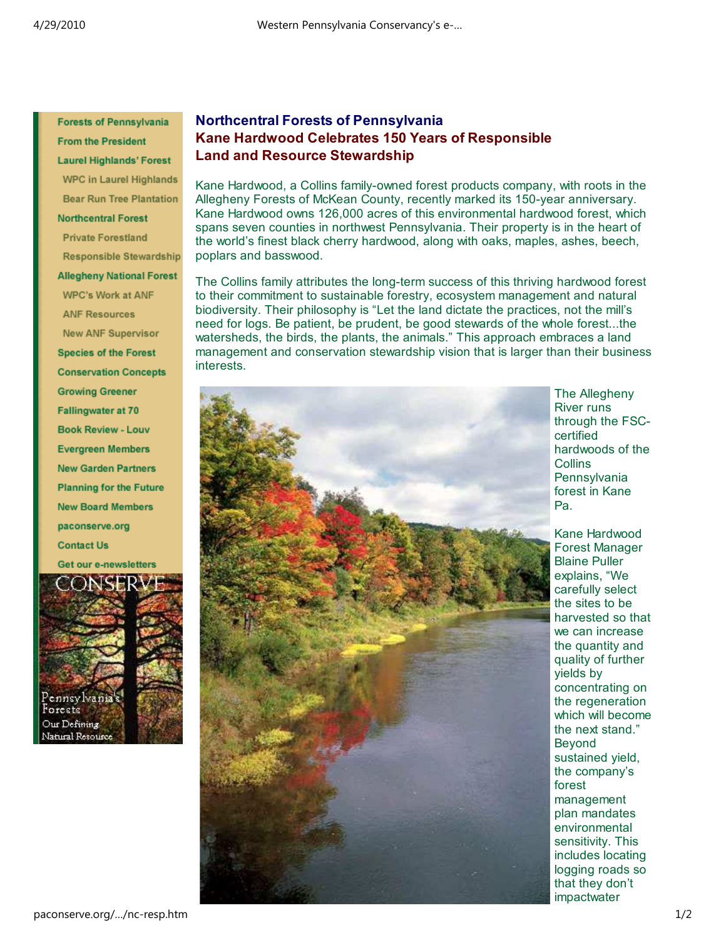**Forests of Pennsylvania From the President Laurel Highlands' Forest WPC in Laurel Highlands Bear Run Tree Plantation Northcentral Forest Private Forestland Responsible Stewardship Allegheny National Forest WPC's Work at ANF ANF Resources New ANF Supervisor Species of the Forest Conservation Concepts Growing Greener Fallingwater at 70 Book Review - Louv Evergreen Members New Garden Partners Planning for the Future New Board Members** paconserve.org **Contact Us** Get our e-newsletters



## **Northcentral Forests of Pennsylvania Kane Hardwood Celebrates 150 Years of Responsible Land and Resource Stewardship**

Kane Hardwood, a Collins family-owned forest products company, with roots in the Allegheny Forests of McKean County, recently marked its 150-year anniversary. Kane Hardwood owns 126,000 acres of this environmental hardwood forest, which spans seven counties in northwest Pennsylvania. Their property is in the heart of the world's finest black cherry hardwood, along with oaks, maples, ashes, beech, poplars and basswood.

The Collins family attributes the long-term success of this thriving hardwood forest to their commitment to sustainable forestry, ecosystem management and natural biodiversity. Their philosophy is "Let the land dictate the practices, not the mill's need for logs. Be patient, be prudent, be good stewards of the whole forest...the watersheds, the birds, the plants, the animals." This approach embraces a land management and conservation stewardship vision that is larger than their business interests.



The Allegheny River runs through the FSCcertified hardwoods of the **Collins Pennsylvania** forest in Kane Pa.

Kane Hardwood Forest Manager Blaine Puller explains, "We carefully select the sites to be harvested so that we can increase the quantity and quality of further yields by concentrating on the regeneration which will become the next stand." Beyond sustained yield, the company's forest management plan mandates environmental sensitivity. This includes locating logging roads so that they don't impactwater